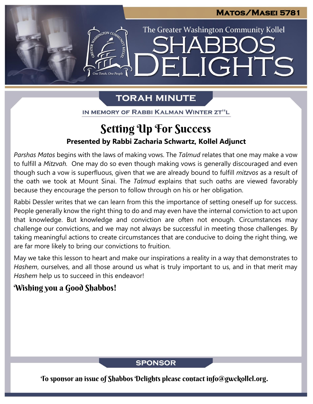LIGHTS

The Greater Washington Community Kollel

# **TORAH MINUTE**

FI

IN MEMORY OF RABBI KALMAN WINTER ZT"L

# **Presented by Rabbi Zacharia Schwartz, Kollel Adjunct** Setting Up For Success

*Parshas Matos* begins with the laws of making vows. The *Talmud* relates that one may make a vow to fulfill a *Mitzvah.* One may do so even though making vows is generally discouraged and even though such a vow is superfluous, given that we are already bound to fulfill *mitzvos* as a result of the oath we took at Mount Sinai. The *Talmud* explains that such oaths are viewed favorably because they encourage the person to follow through on his or her obligation. **From our archives**

Rabbi Dessler writes that we can learn from this the importance of setting oneself up for success. People generally know the right thing to do and may even have the internal conviction to act upon that knowledge. But knowledge and conviction are often not enough. Circumstances may challenge our convictions, and we may not always be successful in meeting those challenges. By taking meaningful actions to create circumstances that are conducive to doing the right thing, we are far more likely to bring our convictions to fruition.

May we take this lesson to heart and make our inspirations a reality in a way that demonstrates to *Hashem*, ourselves, and all those around us what is truly important to us, and in that merit may *Hashem* help us to succeed in this endeavor!

## Wishing you a Good Shabbos!

**SPONSOR** 

To sponsor an issue of Shabbos Delights please contact info@gwckollel.org.